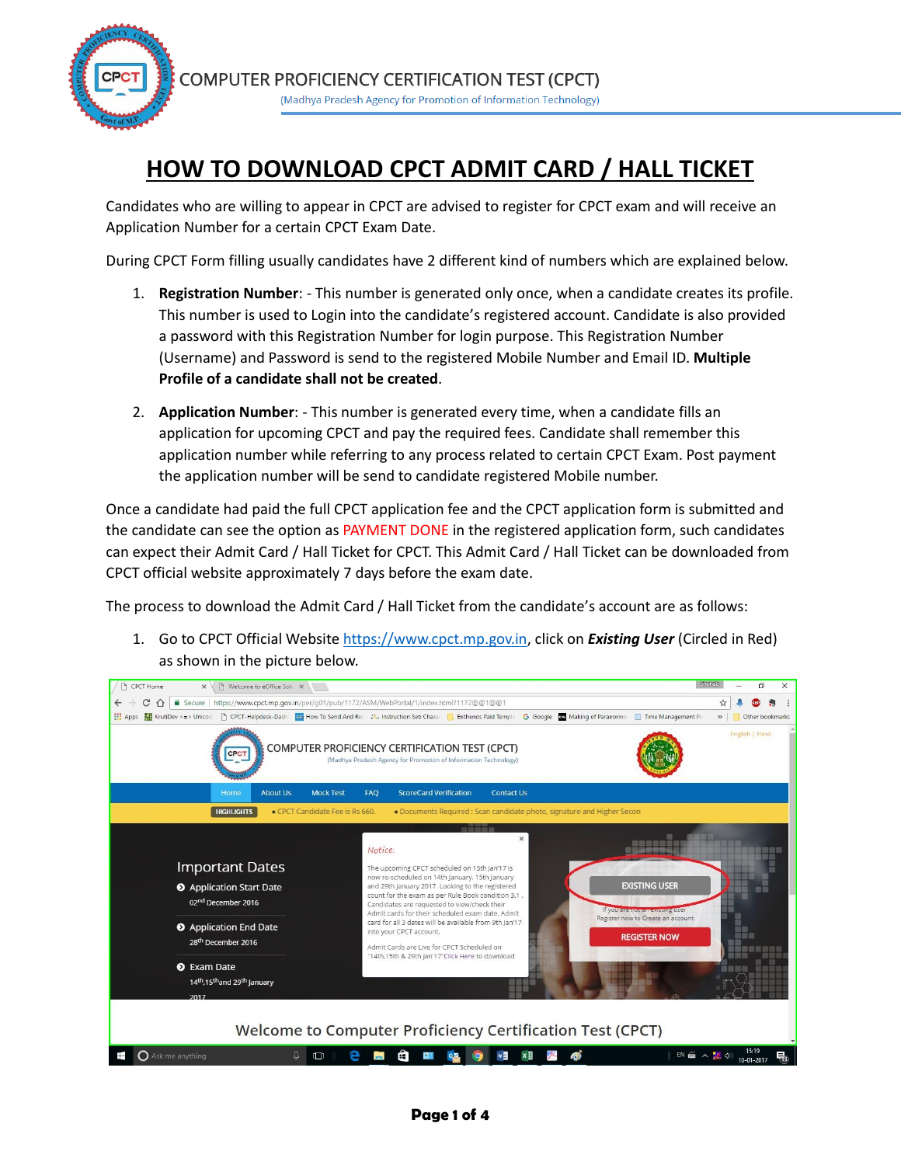

## **HOW TO DOWNLOAD CPCT ADMIT CARD / HALL TICKET**

Candidates who are willing to appear in CPCT are advised to register for CPCT exam and will receive an Application Number for a certain CPCT Exam Date.

During CPCT Form filling usually candidates have 2 different kind of numbers which are explained below.

- 1. **Registration Number**: This number is generated only once, when a candidate creates its profile. This number is used to Login into the candidate's registered account. Candidate is also provided a password with this Registration Number for login purpose. This Registration Number (Username) and Password is send to the registered Mobile Number and Email ID. **Multiple Profile of a candidate shall not be created**.
- 2. **Application Number**: This number is generated every time, when a candidate fills an application for upcoming CPCT and pay the required fees. Candidate shall remember this application number while referring to any process related to certain CPCT Exam. Post payment the application number will be send to candidate registered Mobile number.

Once a candidate had paid the full CPCT application fee and the CPCT application form is submitted and the candidate can see the option as PAYMENT DONE in the registered application form, such candidates can expect their Admit Card / Hall Ticket for CPCT. This Admit Card / Hall Ticket can be downloaded from CPCT official website approximately 7 days before the exam date.

The process to download the Admit Card / Hall Ticket from the candidate's account are as follows:

1. Go to CPCT Official Website [https://www.cpct.mp.gov.in,](https://www.cpct.mp.gov.in/) click on *Existing User* (Circled in Red) as shown in the picture below.

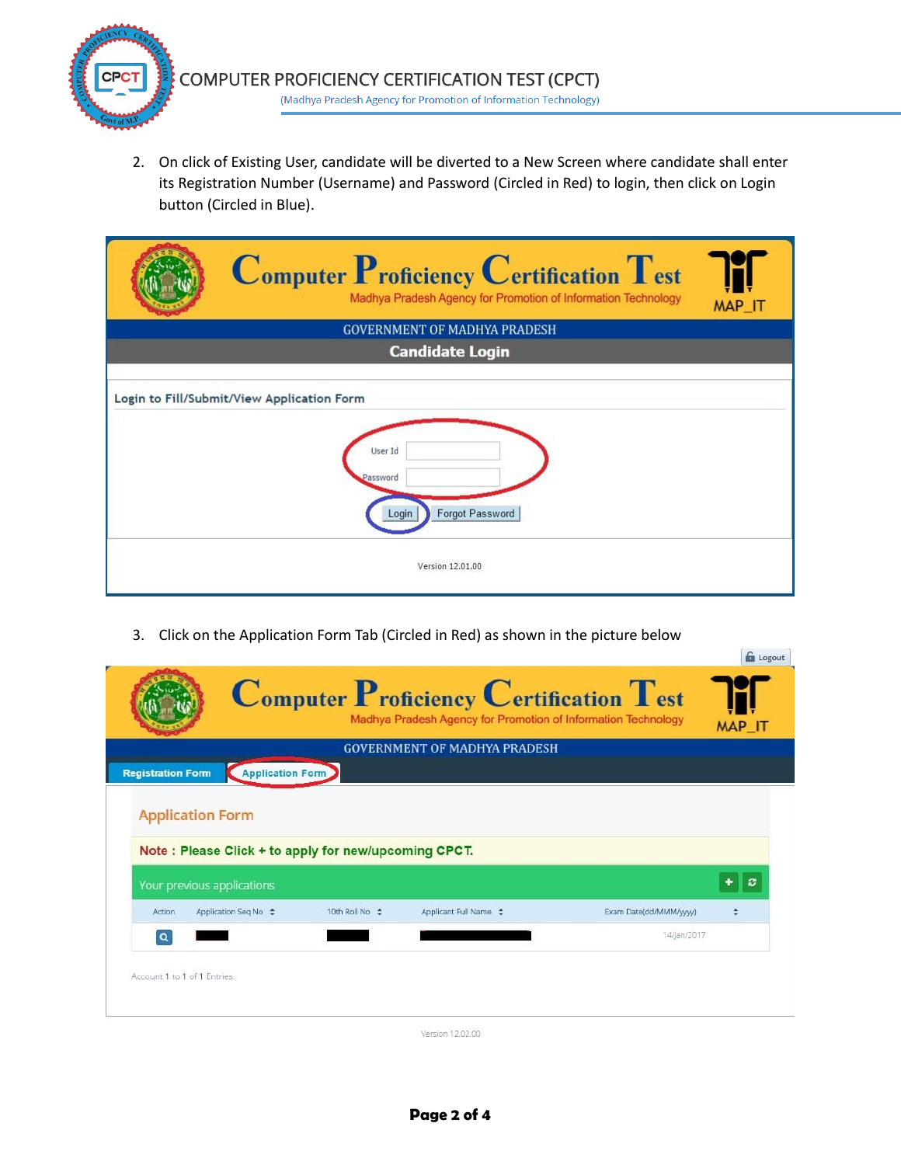

2. On click of Existing User, candidate will be diverted to a New Screen where candidate shall enter its Registration Number (Username) and Password (Circled in Red) to login, then click on Login button (Circled in Blue).

| $\bf{Computer\,Proficiency\,Certification\,Test}$<br>Madhya Pradesh Agency for Promotion of Information Technology | MAP_IT |
|--------------------------------------------------------------------------------------------------------------------|--------|
| <b>GOVERNMENT OF MADHYA PRADESH</b>                                                                                |        |
| <b>Candidate Login</b>                                                                                             |        |
| Login to Fill/Submit/View Application Form<br>User Id<br>Password<br>Forgot Password<br>Login<br>Version 12.01.00  |        |

3. Click on the Application Form Tab (Circled in Red) as shown in the picture below

|                          |                                                      |                | <b>GOVERNMENT OF MADHYA PRADESH</b> |                        |   |
|--------------------------|------------------------------------------------------|----------------|-------------------------------------|------------------------|---|
| <b>Registration Form</b> | Application Form                                     |                |                                     |                        |   |
|                          | <b>Application Form</b>                              |                |                                     |                        |   |
|                          |                                                      |                |                                     |                        |   |
|                          |                                                      |                |                                     |                        |   |
|                          | Note: Please Click + to apply for new/upcoming CPCT. |                |                                     |                        |   |
|                          | Your previous applications                           |                |                                     |                        | c |
| Action                   | Application Seg No $\div$                            | 10th Roll No ≑ | Applicant Full Name $\div$          | Exam Date(dd/MMM/yyyy) |   |
| $\alpha$                 |                                                      |                |                                     | 14/jan/2017            |   |

**G** Logout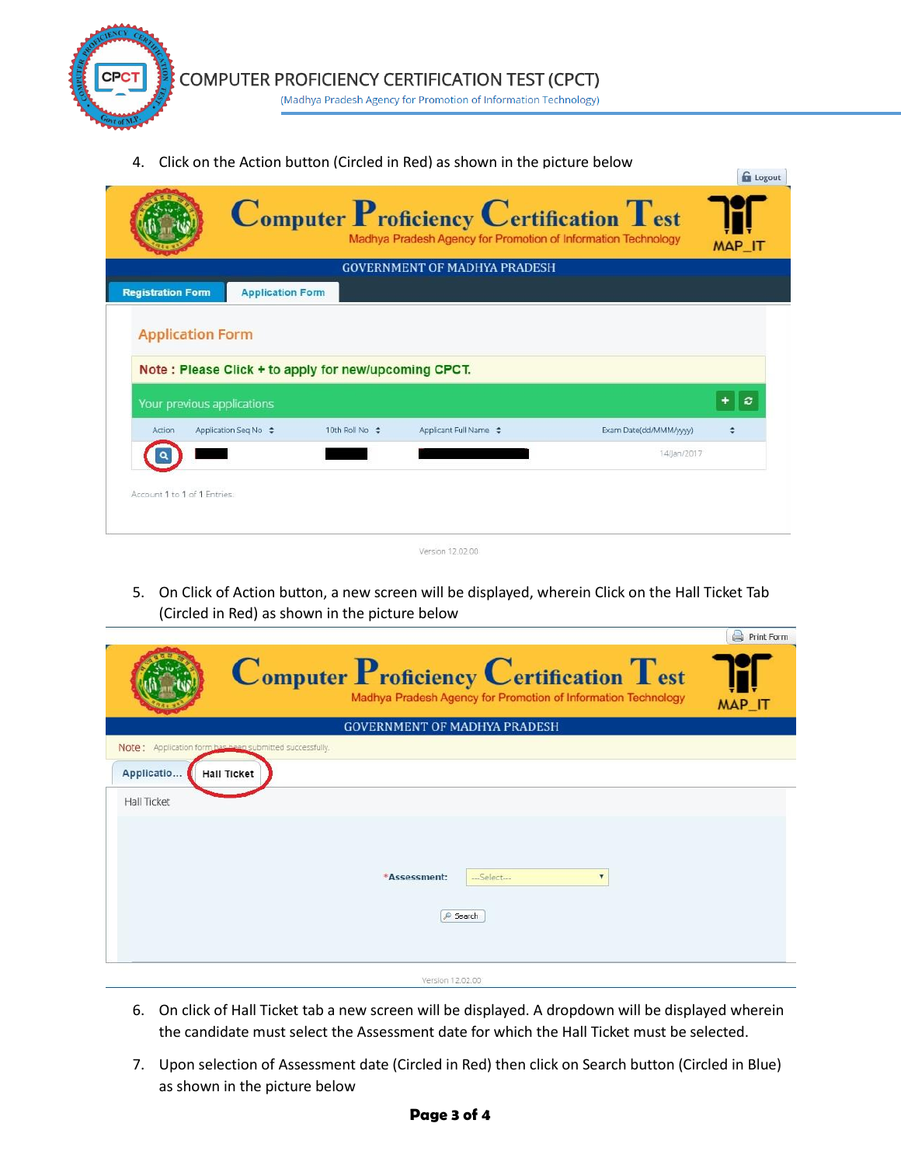

4. Click on the Action button (Circled in Red) as shown in the picture below

|                              |                                                                                    |                | $\bf{Computer\; Proficiency\; Certification\; Test}$<br>Madhya Pradesh Agency for Promotion of Information Technology |                        | <b>G</b> Logout<br>MAP_IT |
|------------------------------|------------------------------------------------------------------------------------|----------------|-----------------------------------------------------------------------------------------------------------------------|------------------------|---------------------------|
|                              |                                                                                    |                | <b>GOVERNMENT OF MADHYA PRADESH</b>                                                                                   |                        |                           |
| <b>Registration Form</b>     | <b>Application Form</b>                                                            |                |                                                                                                                       |                        |                           |
|                              | Note: Please Click + to apply for new/upcoming CPCT.<br>Your previous applications |                |                                                                                                                       |                        | c                         |
| Action                       | Application Seq No $\div$                                                          | 10th Roll No ≑ | Applicant Full Name $\div$                                                                                            | Exam Date(dd/MMM/yyyy) |                           |
|                              |                                                                                    |                |                                                                                                                       | 14/jan/2017            |                           |
| Account 1 to 1 of 1 Entries: |                                                                                    |                |                                                                                                                       |                        |                           |

5. On Click of Action button, a new screen will be displayed, wherein Click on the Hall Ticket Tab (Circled in Red) as shown in the picture below

|                                                         |                                                                                                          | <b>Print Form</b> |
|---------------------------------------------------------|----------------------------------------------------------------------------------------------------------|-------------------|
|                                                         | Computer Proficiency Certification Test<br>Madhya Pradesh Agency for Promotion of Information Technology | MAP_IT            |
|                                                         | <b>GOVERNMENT OF MADHYA PRADESH</b>                                                                      |                   |
| Note: Application form has been submitted successfully. |                                                                                                          |                   |
| Applicatio<br><b>Hall Ticket</b>                        |                                                                                                          |                   |
| Hall Ticket                                             |                                                                                                          |                   |
|                                                         | *Assessment:<br>$-5$ elect $-$<br>$\blacktriangledown$<br>Search                                         |                   |
|                                                         | Version 12.02.00                                                                                         |                   |

- 6. On click of Hall Ticket tab a new screen will be displayed. A dropdown will be displayed wherein the candidate must select the Assessment date for which the Hall Ticket must be selected.
- 7. Upon selection of Assessment date (Circled in Red) then click on Search button (Circled in Blue) as shown in the picture below